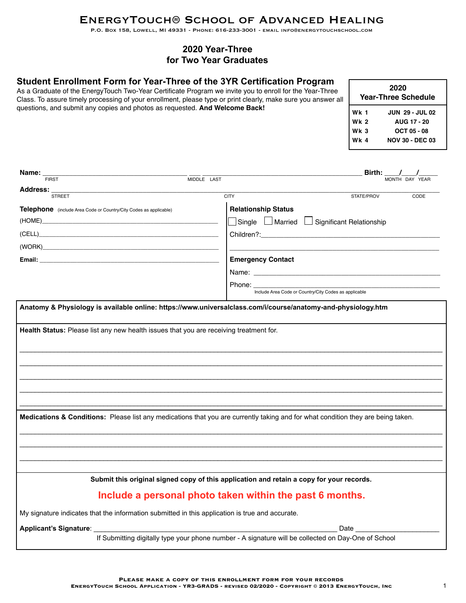# EnergyTouch® School of Advanced Healing

P.O. Box 158, Lowell, MI 49331 - Phone: 616-233-3001 - email info@energytouchschool.com

# **2020 Year-Three for Two Year Graduates**

# **Student Enrollment Form for Year-Three of the 3YR Certification Program**

As a Graduate of the EnergyTouch Two-Year Certificate Program we invite you to enroll for the Year-Three Class. To assure timely processing of your enrollment, please type or print clearly, make sure you answer all questions, and submit any copies and photos as requested. **And Welcome Back!**

| 2020<br>Year-Three Schedule |                        |  |  |
|-----------------------------|------------------------|--|--|
| Wk 1                        | <b>JUN 29 - JUL 02</b> |  |  |
| Wk 2                        | <b>AUG 17 - 20</b>     |  |  |
| Wk 3                        | OCT 05 - 08            |  |  |
| <b>Wk 4</b>                 | <b>NOV 30 - DEC 03</b> |  |  |

| Name:                                                                                                                            |                                                                                                     | Birth: $\frac{1}{\sqrt{2}}$                                                                                    |
|----------------------------------------------------------------------------------------------------------------------------------|-----------------------------------------------------------------------------------------------------|----------------------------------------------------------------------------------------------------------------|
| <b>FIRST</b>                                                                                                                     | $\begin{array}{c cc}\n\hline\n\text{MIDDLE} & \text{LAST}\n\end{array}$                             | MONTH DAY YEAR                                                                                                 |
| Address:<br><b>STREET</b>                                                                                                        | <b>CITY</b>                                                                                         | STATE/PROV<br>CODE                                                                                             |
| <b>Telephone</b> (include Area Code or Country/City Codes as applicable)                                                         | <b>Relationship Status</b>                                                                          |                                                                                                                |
|                                                                                                                                  | Single L Married L Significant Relationship                                                         |                                                                                                                |
| (CELL) and the contract of the contract of the contract of the contract of the contract of the contract of the                   | Children?: <b>Children</b> ?:                                                                       |                                                                                                                |
| (WORK)                                                                                                                           |                                                                                                     |                                                                                                                |
|                                                                                                                                  | <b>Emergency Contact</b>                                                                            |                                                                                                                |
|                                                                                                                                  |                                                                                                     |                                                                                                                |
|                                                                                                                                  | Phone: _____________                                                                                | <u> 1980 - John Stein, Amerikaansk konstantiner (</u>                                                          |
|                                                                                                                                  | Include Area Code or Country/City Codes as applicable                                               |                                                                                                                |
| Anatomy & Physiology is available online: https://www.universalclass.com/i/course/anatomy-and-physiology.htm                     |                                                                                                     |                                                                                                                |
|                                                                                                                                  |                                                                                                     |                                                                                                                |
|                                                                                                                                  |                                                                                                     |                                                                                                                |
| Medications & Conditions: Please list any medications that you are currently taking and for what condition they are being taken. |                                                                                                     |                                                                                                                |
|                                                                                                                                  |                                                                                                     |                                                                                                                |
|                                                                                                                                  | Submit this original signed copy of this application and retain a copy for your records.            |                                                                                                                |
|                                                                                                                                  | Include a personal photo taken within the past 6 months.                                            |                                                                                                                |
| My signature indicates that the information submitted in this application is true and accurate.                                  |                                                                                                     |                                                                                                                |
|                                                                                                                                  |                                                                                                     | Date and the set of the set of the set of the set of the set of the set of the set of the set of the set of th |
|                                                                                                                                  | If Submitting digitally type your phone number - A signature will be collected on Day-One of School |                                                                                                                |